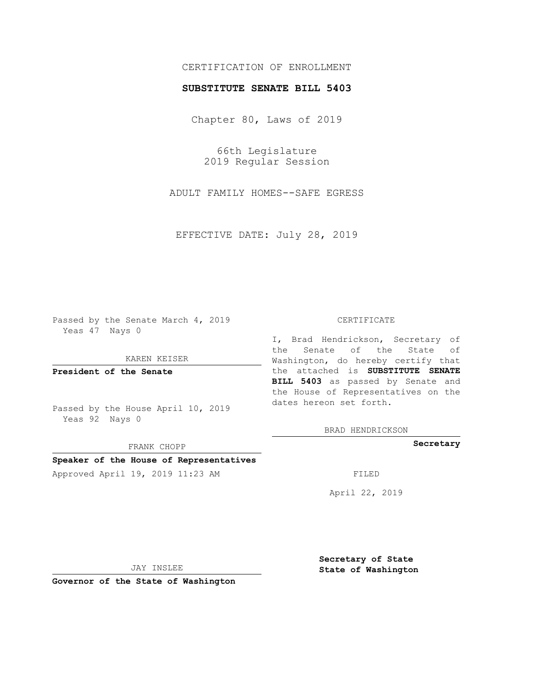# CERTIFICATION OF ENROLLMENT

## **SUBSTITUTE SENATE BILL 5403**

Chapter 80, Laws of 2019

66th Legislature 2019 Regular Session

ADULT FAMILY HOMES--SAFE EGRESS

EFFECTIVE DATE: July 28, 2019

Passed by the Senate March 4, 2019 Yeas 47 Nays 0

KAREN KEISER

**President of the Senate**

Passed by the House April 10, 2019 Yeas 92 Nays 0

FRANK CHOPP

### **Speaker of the House of Representatives**

Approved April 19, 2019 11:23 AM FILED

#### CERTIFICATE

I, Brad Hendrickson, Secretary of the Senate of the State of Washington, do hereby certify that the attached is **SUBSTITUTE SENATE BILL 5403** as passed by Senate and the House of Representatives on the dates hereon set forth.

BRAD HENDRICKSON

**Secretary**

April 22, 2019

JAY INSLEE

**Governor of the State of Washington**

**Secretary of State State of Washington**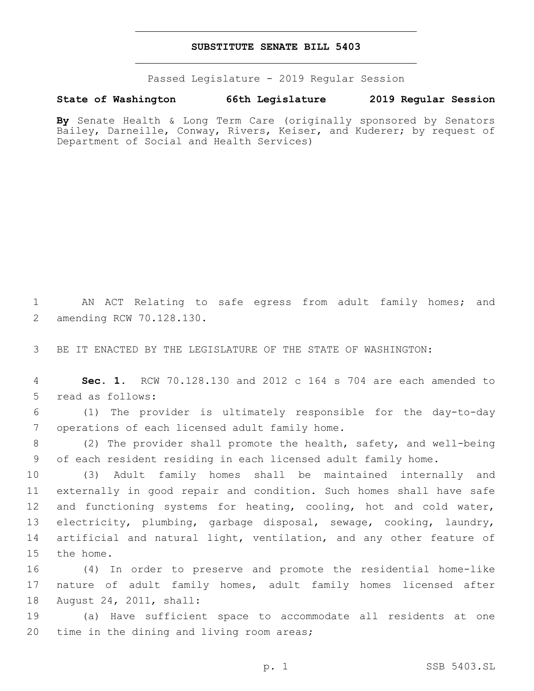### **SUBSTITUTE SENATE BILL 5403**

Passed Legislature - 2019 Regular Session

**State of Washington 66th Legislature 2019 Regular Session**

**By** Senate Health & Long Term Care (originally sponsored by Senators Bailey, Darneille, Conway, Rivers, Keiser, and Kuderer; by request of Department of Social and Health Services)

1 AN ACT Relating to safe egress from adult family homes; and 2 amending RCW 70.128.130.

3 BE IT ENACTED BY THE LEGISLATURE OF THE STATE OF WASHINGTON:

4 **Sec. 1.** RCW 70.128.130 and 2012 c 164 s 704 are each amended to 5 read as follows:

6 (1) The provider is ultimately responsible for the day-to-day 7 operations of each licensed adult family home.

8 (2) The provider shall promote the health, safety, and well-being 9 of each resident residing in each licensed adult family home.

 (3) Adult family homes shall be maintained internally and externally in good repair and condition. Such homes shall have safe 12 and functioning systems for heating, cooling, hot and cold water, electricity, plumbing, garbage disposal, sewage, cooking, laundry, artificial and natural light, ventilation, and any other feature of 15 the home.

16 (4) In order to preserve and promote the residential home-like 17 nature of adult family homes, adult family homes licensed after 18 August 24, 2011, shall:

19 (a) Have sufficient space to accommodate all residents at one 20 time in the dining and living room areas;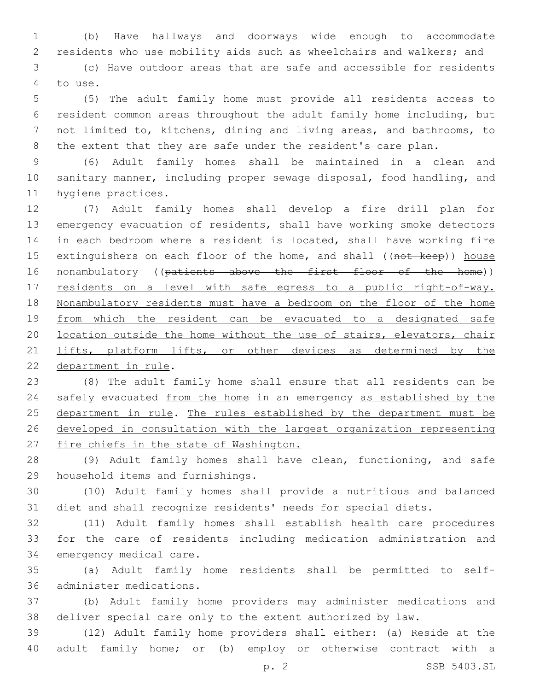(b) Have hallways and doorways wide enough to accommodate residents who use mobility aids such as wheelchairs and walkers; and

 (c) Have outdoor areas that are safe and accessible for residents 4 to use.

 (5) The adult family home must provide all residents access to resident common areas throughout the adult family home including, but not limited to, kitchens, dining and living areas, and bathrooms, to 8 the extent that they are safe under the resident's care plan.

 (6) Adult family homes shall be maintained in a clean and sanitary manner, including proper sewage disposal, food handling, and 11 hygiene practices.

 (7) Adult family homes shall develop a fire drill plan for emergency evacuation of residents, shall have working smoke detectors in each bedroom where a resident is located, shall have working fire 15 extinguishers on each floor of the home, and shall ((not keep)) house 16 nonambulatory ((patients above the first floor of the home)) 17 residents on a level with safe egress to a public right-of-way. Nonambulatory residents must have a bedroom on the floor of the home from which the resident can be evacuated to a designated safe location outside the home without the use of stairs, elevators, chair 21 lifts, platform lifts, or other devices as determined by the 22 department in rule.

 (8) The adult family home shall ensure that all residents can be safely evacuated from the home in an emergency as established by the 25 department in rule. The rules established by the department must be developed in consultation with the largest organization representing 27 fire chiefs in the state of Washington.

 (9) Adult family homes shall have clean, functioning, and safe 29 household items and furnishings.

 (10) Adult family homes shall provide a nutritious and balanced diet and shall recognize residents' needs for special diets.

 (11) Adult family homes shall establish health care procedures for the care of residents including medication administration and 34 emergency medical care.

 (a) Adult family home residents shall be permitted to self-36 administer medications.

 (b) Adult family home providers may administer medications and deliver special care only to the extent authorized by law.

 (12) Adult family home providers shall either: (a) Reside at the adult family home; or (b) employ or otherwise contract with a

p. 2 SSB 5403.SL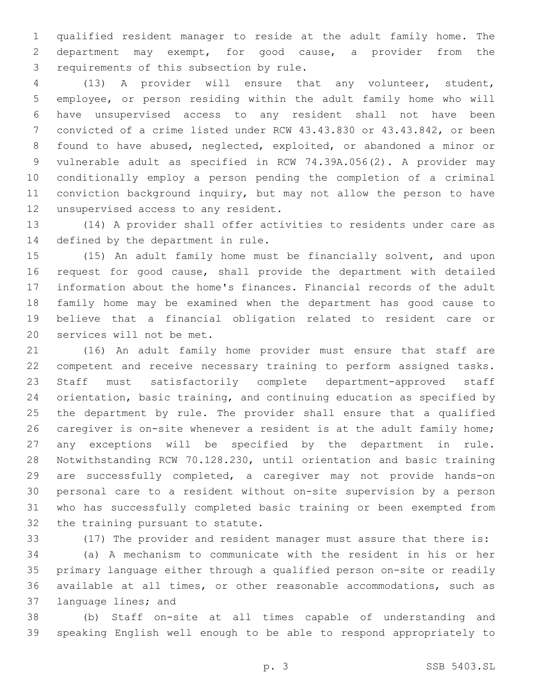qualified resident manager to reside at the adult family home. The department may exempt, for good cause, a provider from the 3 requirements of this subsection by rule.

 (13) A provider will ensure that any volunteer, student, employee, or person residing within the adult family home who will have unsupervised access to any resident shall not have been convicted of a crime listed under RCW 43.43.830 or 43.43.842, or been found to have abused, neglected, exploited, or abandoned a minor or vulnerable adult as specified in RCW 74.39A.056(2). A provider may conditionally employ a person pending the completion of a criminal conviction background inquiry, but may not allow the person to have 12 unsupervised access to any resident.

 (14) A provider shall offer activities to residents under care as 14 defined by the department in rule.

 (15) An adult family home must be financially solvent, and upon request for good cause, shall provide the department with detailed information about the home's finances. Financial records of the adult family home may be examined when the department has good cause to believe that a financial obligation related to resident care or 20 services will not be met.

 (16) An adult family home provider must ensure that staff are competent and receive necessary training to perform assigned tasks. Staff must satisfactorily complete department-approved staff orientation, basic training, and continuing education as specified by the department by rule. The provider shall ensure that a qualified caregiver is on-site whenever a resident is at the adult family home; any exceptions will be specified by the department in rule. Notwithstanding RCW 70.128.230, until orientation and basic training are successfully completed, a caregiver may not provide hands-on personal care to a resident without on-site supervision by a person who has successfully completed basic training or been exempted from 32 the training pursuant to statute.

(17) The provider and resident manager must assure that there is:

 (a) A mechanism to communicate with the resident in his or her primary language either through a qualified person on-site or readily available at all times, or other reasonable accommodations, such as 37 language lines; and

 (b) Staff on-site at all times capable of understanding and speaking English well enough to be able to respond appropriately to